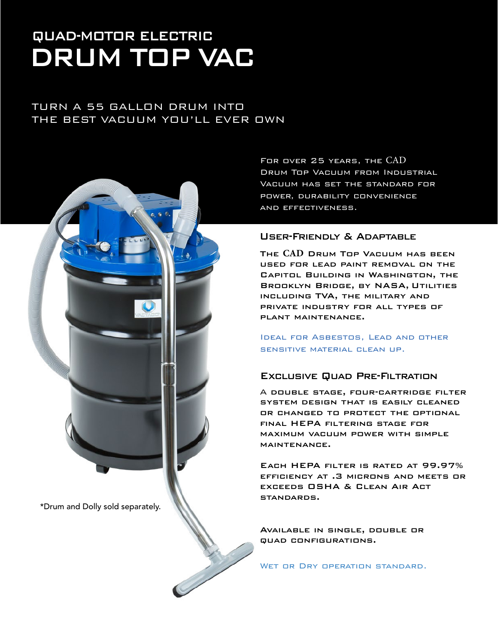# DRUM TOP VAC QUAD-MOTOR ELECTRIC

### TURN A 55 GALLON DRUM INTO THE BEST VACUUM YOU'LL EVER OWN



For over 25 years, the CAD Drum Top Vacuum from Industrial Vacuum has set the standard for power, durability convenience and effectiveness.

#### User-Friendly & Adaptable

The **CAD** Drum Top Vacuum has been used for lead paint removal on the Capitol Building in Washington, the Brooklyn Bridge, by NASA, Utilities including TVA, the military and private industry for all types of plant maintenance.

Ideal for Asbestos, Lead and other sensitive material clean up.

#### Exclusive Quad Pre-Filtration

A double stage, four-cartridge filter system design that is easily cleaned or changed to protect the optional final HEPA filtering stage for maximum vacuum power with simple maintenance.

Each HEPA filter is rated at 99.97% efficiency at .3 microns and meets or exceeds OSHA & Clean Air Act standards.

Available in single, double or quad configurations.

WET OR DRY OPERATION STANDARD.